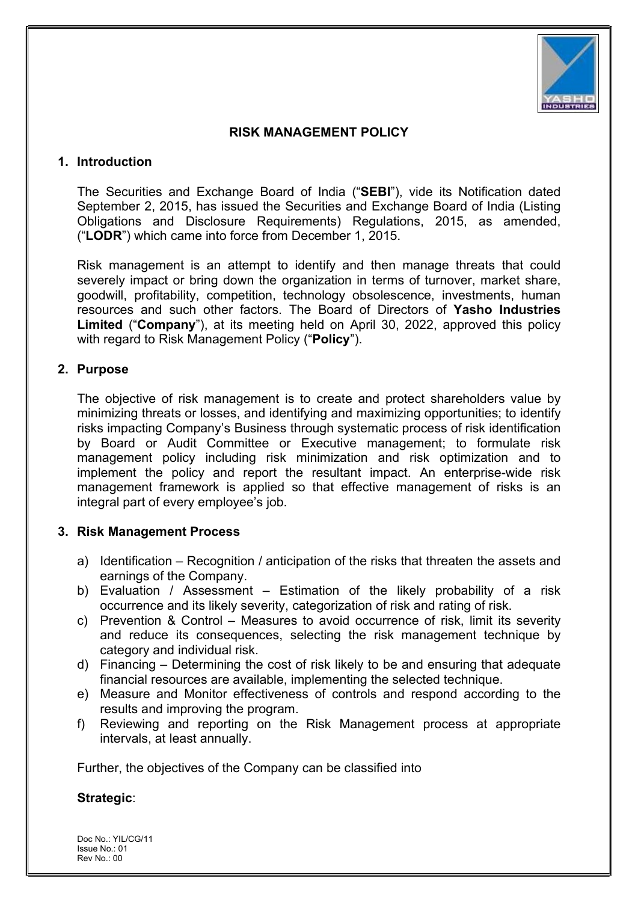

#### RISK MANAGEMENT POLICY

#### 1. Introduction

The Securities and Exchange Board of India ("SEBI"), vide its Notification dated September 2, 2015, has issued the Securities and Exchange Board of India (Listing Obligations and Disclosure Requirements) Regulations, 2015, as amended, ("LODR") which came into force from December 1, 2015.

Risk management is an attempt to identify and then manage threats that could severely impact or bring down the organization in terms of turnover, market share, goodwill, profitability, competition, technology obsolescence, investments, human resources and such other factors. The Board of Directors of Yasho Industries Limited ("Company"), at its meeting held on April 30, 2022, approved this policy with regard to Risk Management Policy ("Policy").

#### 2. Purpose

The objective of risk management is to create and protect shareholders value by minimizing threats or losses, and identifying and maximizing opportunities; to identify risks impacting Company's Business through systematic process of risk identification by Board or Audit Committee or Executive management; to formulate risk management policy including risk minimization and risk optimization and to implement the policy and report the resultant impact. An enterprise-wide risk management framework is applied so that effective management of risks is an integral part of every employee's job.

## 3. Risk Management Process

- a) Identification Recognition / anticipation of the risks that threaten the assets and earnings of the Company.
- b) Evaluation / Assessment Estimation of the likely probability of a risk occurrence and its likely severity, categorization of risk and rating of risk.
- c) Prevention & Control Measures to avoid occurrence of risk, limit its severity and reduce its consequences, selecting the risk management technique by category and individual risk.
- d) Financing Determining the cost of risk likely to be and ensuring that adequate financial resources are available, implementing the selected technique.
- e) Measure and Monitor effectiveness of controls and respond according to the results and improving the program.
- f) Reviewing and reporting on the Risk Management process at appropriate intervals, at least annually.

Further, the objectives of the Company can be classified into

## Strategic:

Doc No.: YIL/CG/11 Issue No.: 01 Rev No: 00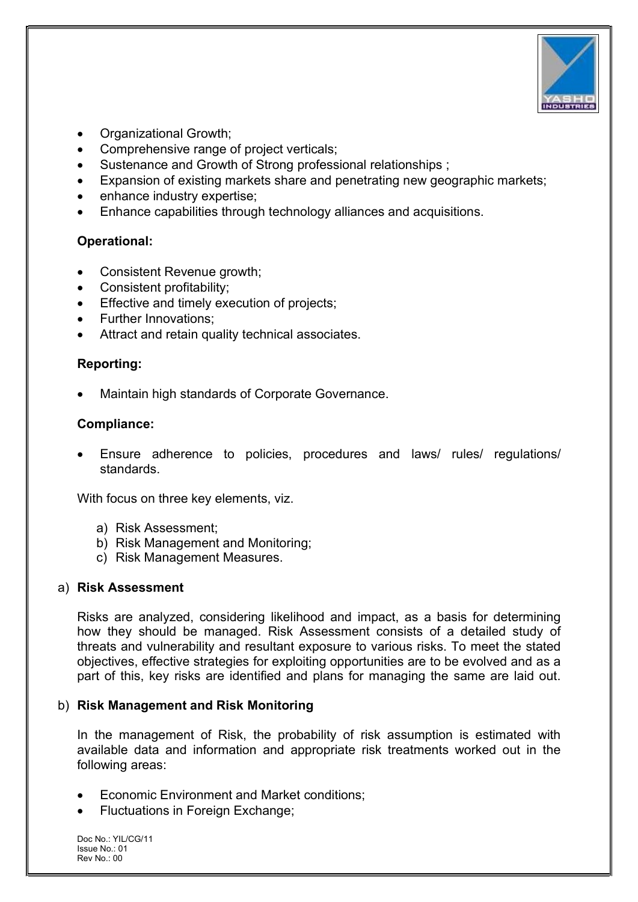

- Organizational Growth;
- Comprehensive range of project verticals;
- Sustenance and Growth of Strong professional relationships ;
- Expansion of existing markets share and penetrating new geographic markets;
- enhance industry expertise;
- Enhance capabilities through technology alliances and acquisitions.

# Operational:

- Consistent Revenue growth;
- Consistent profitability;
- Effective and timely execution of projects;
- Further Innovations;
- Attract and retain quality technical associates.

# Reporting:

Maintain high standards of Corporate Governance.

# Compliance:

 Ensure adherence to policies, procedures and laws/ rules/ regulations/ standards.

With focus on three key elements, viz.

- a) Risk Assessment;
- b) Risk Management and Monitoring;
- c) Risk Management Measures.

## a) Risk Assessment

Risks are analyzed, considering likelihood and impact, as a basis for determining how they should be managed. Risk Assessment consists of a detailed study of threats and vulnerability and resultant exposure to various risks. To meet the stated objectives, effective strategies for exploiting opportunities are to be evolved and as a part of this, key risks are identified and plans for managing the same are laid out.

## b) Risk Management and Risk Monitoring

In the management of Risk, the probability of risk assumption is estimated with available data and information and appropriate risk treatments worked out in the following areas:

- Economic Environment and Market conditions;
- Fluctuations in Foreign Exchange;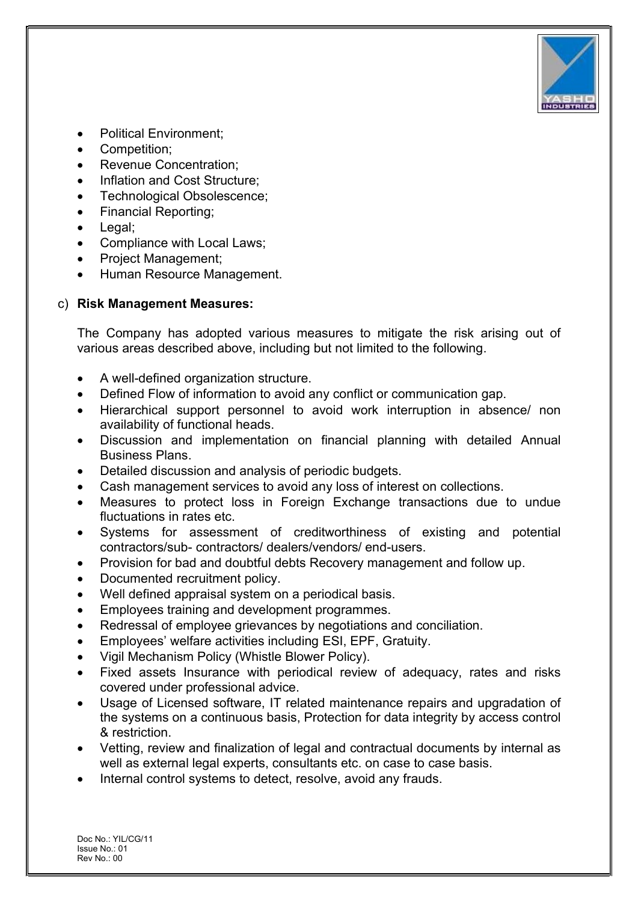

- Political Environment;
- Competition;
- Revenue Concentration;
- Inflation and Cost Structure;
- Technological Obsolescence;
- Financial Reporting;
- Legal;
- Compliance with Local Laws;
- Project Management;
- Human Resource Management.

# c) Risk Management Measures:

The Company has adopted various measures to mitigate the risk arising out of various areas described above, including but not limited to the following.

- A well-defined organization structure.
- Defined Flow of information to avoid any conflict or communication gap.
- Hierarchical support personnel to avoid work interruption in absence/ non availability of functional heads.
- Discussion and implementation on financial planning with detailed Annual Business Plans.
- Detailed discussion and analysis of periodic budgets.
- Cash management services to avoid any loss of interest on collections.
- Measures to protect loss in Foreign Exchange transactions due to undue fluctuations in rates etc.
- Systems for assessment of creditworthiness of existing and potential contractors/sub- contractors/ dealers/vendors/ end-users.
- Provision for bad and doubtful debts Recovery management and follow up.
- Documented recruitment policy.
- Well defined appraisal system on a periodical basis.
- Employees training and development programmes.
- Redressal of employee grievances by negotiations and conciliation.
- Employees' welfare activities including ESI, EPF, Gratuity.
- Vigil Mechanism Policy (Whistle Blower Policy).
- Fixed assets Insurance with periodical review of adequacy, rates and risks covered under professional advice.
- Usage of Licensed software, IT related maintenance repairs and upgradation of the systems on a continuous basis, Protection for data integrity by access control & restriction.
- Vetting, review and finalization of legal and contractual documents by internal as well as external legal experts, consultants etc. on case to case basis.
- Internal control systems to detect, resolve, avoid any frauds.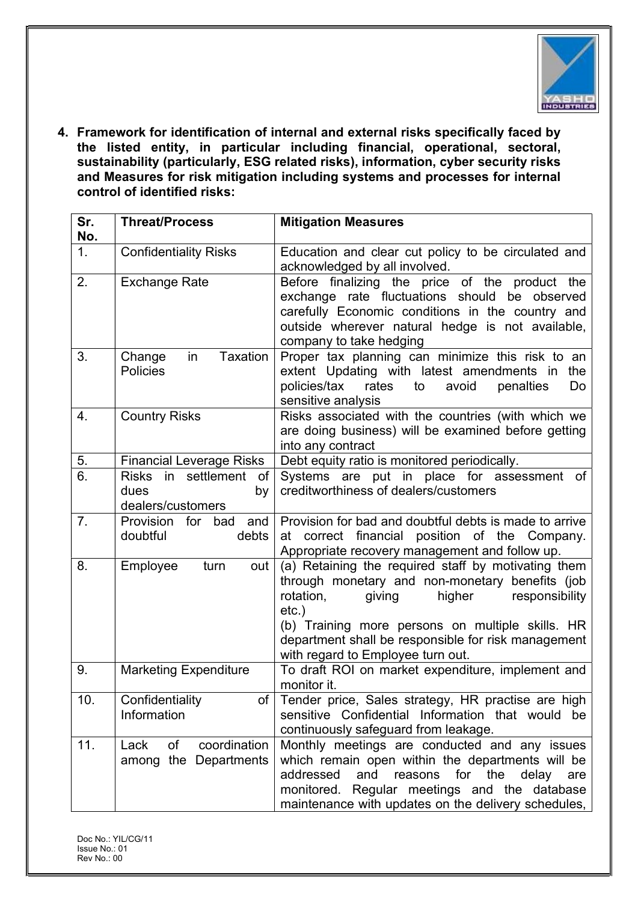

4. Framework for identification of internal and external risks specifically faced by the listed entity, in particular including financial, operational, sectoral, sustainability (particularly, ESG related risks), information, cyber security risks and Measures for risk mitigation including systems and processes for internal control of identified risks:

| Sr.<br>No.     | <b>Threat/Process</b>                                        | <b>Mitigation Measures</b>                                                                                                                                                                                                                                                                                            |
|----------------|--------------------------------------------------------------|-----------------------------------------------------------------------------------------------------------------------------------------------------------------------------------------------------------------------------------------------------------------------------------------------------------------------|
| 1 <sub>1</sub> | <b>Confidentiality Risks</b>                                 | Education and clear cut policy to be circulated and<br>acknowledged by all involved.                                                                                                                                                                                                                                  |
| 2.             | <b>Exchange Rate</b>                                         | Before finalizing the price of the product the<br>exchange rate fluctuations should be observed<br>carefully Economic conditions in the country and<br>outside wherever natural hedge is not available,<br>company to take hedging                                                                                    |
| 3.             | <b>Taxation</b><br>Change<br>in<br><b>Policies</b>           | Proper tax planning can minimize this risk to an<br>extent Updating with latest amendments in<br>the<br>policies/tax<br>rates<br>to<br>avoid<br>penalties<br>Do<br>sensitive analysis                                                                                                                                 |
| 4.             | <b>Country Risks</b>                                         | Risks associated with the countries (with which we<br>are doing business) will be examined before getting<br>into any contract                                                                                                                                                                                        |
| 5.             | <b>Financial Leverage Risks</b>                              | Debt equity ratio is monitored periodically.                                                                                                                                                                                                                                                                          |
| 6.             | Risks in settlement<br>of<br>dues<br>by<br>dealers/customers | Systems are put in place for assessment of<br>creditworthiness of dealers/customers                                                                                                                                                                                                                                   |
| 7.             | Provision<br>for<br>bad<br>and<br>doubtful<br>debts          | Provision for bad and doubtful debts is made to arrive<br>at correct financial<br>position of the Company.<br>Appropriate recovery management and follow up.                                                                                                                                                          |
| 8.             | Employee<br>turn<br>out                                      | (a) Retaining the required staff by motivating them<br>through monetary and non-monetary benefits (job<br>rotation,<br>higher<br>giving<br>responsibility<br>$etc.$ )<br>(b) Training more persons on multiple skills. HR<br>department shall be responsible for risk management<br>with regard to Employee turn out. |
| 9.             | <b>Marketing Expenditure</b>                                 | To draft ROI on market expenditure, implement and<br>monitor it.                                                                                                                                                                                                                                                      |
| 10.            | Confidentiality<br>of<br>Information                         | Tender price, Sales strategy, HR practise are high<br>sensitive Confidential Information that would be<br>continuously safeguard from leakage.                                                                                                                                                                        |
| 11.            | coordination<br>of<br>Lack<br>among the Departments          | Monthly meetings are conducted and any issues<br>which remain open within the departments will be<br>addressed<br>and<br>reasons<br>for the<br>delay<br>are<br>monitored. Regular meetings and the database<br>maintenance with updates on the delivery schedules,                                                    |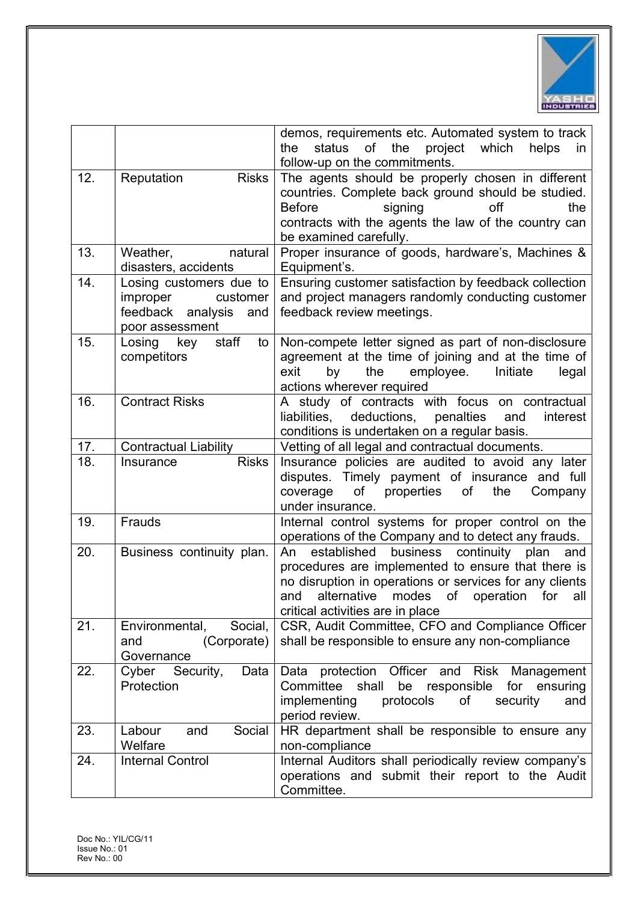

|     |                                                                                                | demos, requirements etc. Automated system to track<br>status<br>of<br>the<br>project<br>which<br>the<br>helps<br>in.<br>follow-up on the commitments.                                                                                                                     |
|-----|------------------------------------------------------------------------------------------------|---------------------------------------------------------------------------------------------------------------------------------------------------------------------------------------------------------------------------------------------------------------------------|
| 12. | Reputation<br><b>Risks</b>                                                                     | The agents should be properly chosen in different<br>countries. Complete back ground should be studied.<br><b>Before</b><br>signing<br>off<br>the<br>contracts with the agents the law of the country can<br>be examined carefully.                                       |
| 13. | Weather,<br>natural<br>disasters, accidents                                                    | Proper insurance of goods, hardware's, Machines &<br>Equipment's.                                                                                                                                                                                                         |
| 14. | Losing customers due to<br>improper<br>customer<br>feedback analysis<br>and<br>poor assessment | Ensuring customer satisfaction by feedback collection<br>and project managers randomly conducting customer<br>feedback review meetings.                                                                                                                                   |
| 15. | staff<br>Losing<br>key<br>to<br>competitors                                                    | Non-compete letter signed as part of non-disclosure<br>agreement at the time of joining and at the time of<br>exit<br>by<br>the<br>employee.<br>Initiate<br>legal<br>actions wherever required                                                                            |
| 16. | <b>Contract Risks</b>                                                                          | A study of contracts with focus on contractual<br>deductions,<br>penalties<br>liabilities,<br>interest<br>and<br>conditions is undertaken on a regular basis.                                                                                                             |
| 17. | <b>Contractual Liability</b>                                                                   | Vetting of all legal and contractual documents.                                                                                                                                                                                                                           |
| 18. | <b>Risks</b><br>Insurance                                                                      | Insurance policies are audited to avoid any later<br>disputes. Timely payment of insurance and full<br>properties<br>of<br>coverage<br>of<br>the<br>Company<br>under insurance.                                                                                           |
| 19. | Frauds                                                                                         | Internal control systems for proper control on the<br>operations of the Company and to detect any frauds.                                                                                                                                                                 |
| 20. | Business continuity plan.                                                                      | established<br>business continuity plan<br>An<br>and<br>procedures are implemented to ensure that there is<br>no disruption in operations or services for any clients<br>alternative<br>of<br>for<br>modes<br>operation<br>and<br>all<br>critical activities are in place |
| 21. | Social,<br>Environmental,<br>(Corporate)<br>and<br>Governance                                  | CSR, Audit Committee, CFO and Compliance Officer<br>shall be responsible to ensure any non-compliance                                                                                                                                                                     |
| 22. | Cyber<br>Security,<br>Data<br>Protection                                                       | protection<br>Officer and<br>Risk Management<br>Data<br>be<br>for ensuring<br>Committee shall<br>responsible<br>implementing<br>protocols<br>of<br>security<br>and<br>period review.                                                                                      |
| 23. | Social<br>Labour<br>and<br>Welfare                                                             | HR department shall be responsible to ensure any<br>non-compliance                                                                                                                                                                                                        |
| 24. | <b>Internal Control</b>                                                                        | Internal Auditors shall periodically review company's<br>operations and submit their report to the Audit<br>Committee.                                                                                                                                                    |